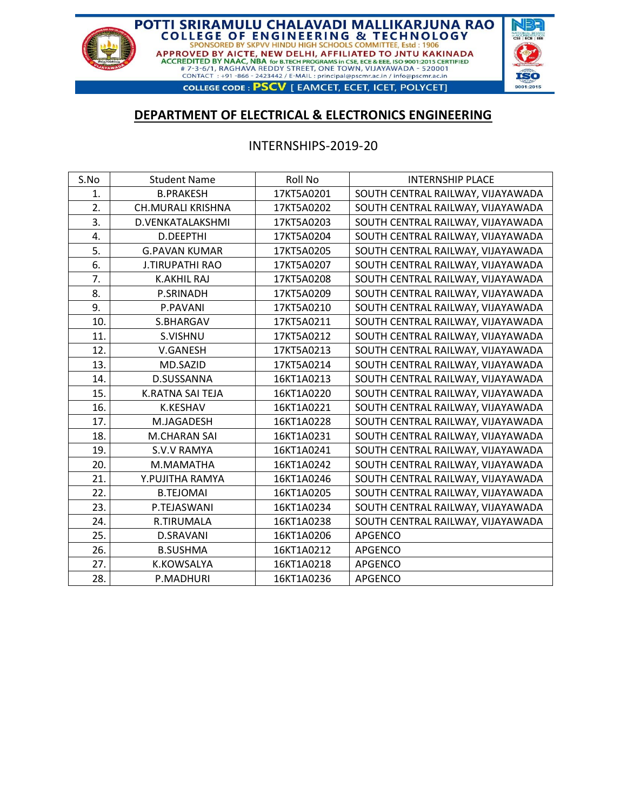

## **DEPARTMENT OF ELECTRICAL & ELECTRONICS ENGINEERING**

### INTERNSHIPS-2019-20

| S.No | <b>Student Name</b>      | Roll No    | <b>INTERNSHIP PLACE</b>           |
|------|--------------------------|------------|-----------------------------------|
| 1.   | <b>B.PRAKESH</b>         | 17KT5A0201 | SOUTH CENTRAL RAILWAY, VIJAYAWADA |
| 2.   | <b>CH.MURALI KRISHNA</b> | 17KT5A0202 | SOUTH CENTRAL RAILWAY, VIJAYAWADA |
| 3.   | D.VENKATALAKSHMI         | 17KT5A0203 | SOUTH CENTRAL RAILWAY, VIJAYAWADA |
| 4.   | D.DEEPTHI                | 17KT5A0204 | SOUTH CENTRAL RAILWAY, VIJAYAWADA |
| 5.   | <b>G.PAVAN KUMAR</b>     | 17KT5A0205 | SOUTH CENTRAL RAILWAY, VIJAYAWADA |
| 6.   | <b>J.TIRUPATHI RAO</b>   | 17KT5A0207 | SOUTH CENTRAL RAILWAY, VIJAYAWADA |
| 7.   | <b>K.AKHIL RAJ</b>       | 17KT5A0208 | SOUTH CENTRAL RAILWAY, VIJAYAWADA |
| 8.   | P.SRINADH                | 17KT5A0209 | SOUTH CENTRAL RAILWAY, VIJAYAWADA |
| 9.   | P.PAVANI                 | 17KT5A0210 | SOUTH CENTRAL RAILWAY, VIJAYAWADA |
| 10.  | S.BHARGAV                | 17KT5A0211 | SOUTH CENTRAL RAILWAY, VIJAYAWADA |
| 11.  | S.VISHNU                 | 17KT5A0212 | SOUTH CENTRAL RAILWAY, VIJAYAWADA |
| 12.  | V.GANESH                 | 17KT5A0213 | SOUTH CENTRAL RAILWAY, VIJAYAWADA |
| 13.  | MD.SAZID                 | 17KT5A0214 | SOUTH CENTRAL RAILWAY, VIJAYAWADA |
| 14.  | D.SUSSANNA               | 16KT1A0213 | SOUTH CENTRAL RAILWAY, VIJAYAWADA |
| 15.  | K.RATNA SAI TEJA         | 16KT1A0220 | SOUTH CENTRAL RAILWAY, VIJAYAWADA |
| 16.  | <b>K.KESHAV</b>          | 16KT1A0221 | SOUTH CENTRAL RAILWAY, VIJAYAWADA |
| 17.  | M.JAGADESH               | 16KT1A0228 | SOUTH CENTRAL RAILWAY, VIJAYAWADA |
| 18.  | M.CHARAN SAI             | 16KT1A0231 | SOUTH CENTRAL RAILWAY, VIJAYAWADA |
| 19.  | <b>S.V.V RAMYA</b>       | 16KT1A0241 | SOUTH CENTRAL RAILWAY, VIJAYAWADA |
| 20.  | M.MAMATHA                | 16KT1A0242 | SOUTH CENTRAL RAILWAY, VIJAYAWADA |
| 21.  | Y.PUJITHA RAMYA          | 16KT1A0246 | SOUTH CENTRAL RAILWAY, VIJAYAWADA |
| 22.  | <b>B.TEJOMAI</b>         | 16KT1A0205 | SOUTH CENTRAL RAILWAY, VIJAYAWADA |
| 23.  | P.TEJASWANI              | 16KT1A0234 | SOUTH CENTRAL RAILWAY, VIJAYAWADA |
| 24.  | R.TIRUMALA               | 16KT1A0238 | SOUTH CENTRAL RAILWAY, VIJAYAWADA |
| 25.  | <b>D.SRAVANI</b>         | 16KT1A0206 | <b>APGENCO</b>                    |
| 26.  | <b>B.SUSHMA</b>          | 16KT1A0212 | <b>APGENCO</b>                    |
| 27.  | K.KOWSALYA               | 16KT1A0218 | <b>APGENCO</b>                    |
| 28.  | P.MADHURI                | 16KT1A0236 | <b>APGENCO</b>                    |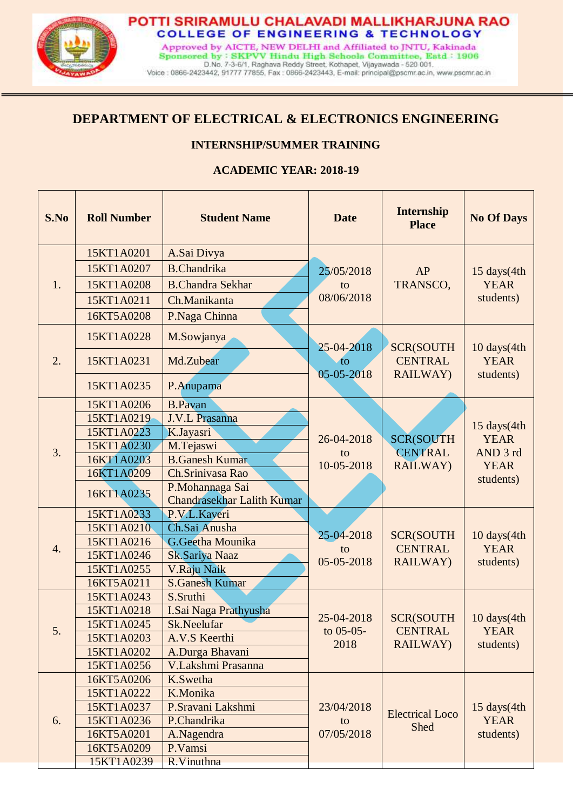

# **DEPARTMENT OF ELECTRICAL & ELECTRONICS ENGINEERING**

### **INTERNSHIP/SUMMER TRAINING**

### **ACADEMIC YEAR: 2018-19**

| S.No | <b>Roll Number</b>       | <b>Student Name</b>                                  | <b>Date</b>                       | <b>Internship</b><br><b>Place</b>                      | <b>No Of Days</b>                       |
|------|--------------------------|------------------------------------------------------|-----------------------------------|--------------------------------------------------------|-----------------------------------------|
|      | 15KT1A0201               | A.Sai Divya                                          |                                   |                                                        |                                         |
|      | 15KT1A0207               | <b>B.Chandrika</b>                                   | 25/05/2018                        | AP<br>TRANSCO,                                         | 15 days(4th<br><b>YEAR</b><br>students) |
| 1.   | 15KT1A0208               | <b>B.Chandra Sekhar</b>                              | to<br>08/06/2018                  |                                                        |                                         |
|      | 15KT1A0211               | Ch.Manikanta                                         |                                   |                                                        |                                         |
|      | 16KT5A0208               | P.Naga Chinna                                        |                                   |                                                        |                                         |
|      | 15KT1A0228               | M.Sowjanya                                           |                                   |                                                        | 10 days(4th<br><b>YEAR</b><br>students) |
| 2.   | 15KT1A0231               | Md.Zubear                                            | 25-04-2018<br>to                  | <b>SCR(SOUTH</b><br><b>CENTRAL</b>                     |                                         |
|      | 15KT1A0235               | P.Anupama                                            | 05-05-2018                        | <b>RAILWAY)</b>                                        |                                         |
|      | 15KT1A0206               | <b>B.Pavan</b>                                       |                                   | <b>SCR(SOUTH</b><br><b>CENTRAL</b>                     | 15 days(4th<br><b>YEAR</b><br>AND 3 rd  |
|      | 15KT1A0219               | <b>J.V.L Prasanna</b>                                |                                   |                                                        |                                         |
|      | 15KT1A0223               | K.Jayasri                                            | 26-04-2018<br>to                  |                                                        |                                         |
| 3.   | 15KT1A0230               | M.Tejaswi                                            |                                   |                                                        |                                         |
|      | 16KT1A0203               | <b>B.Ganesh Kumar</b>                                | 10-05-2018                        | <b>RAILWAY</b> )                                       | <b>YEAR</b>                             |
|      | 16KT1A0209               | Ch.Srinivasa Rao                                     |                                   |                                                        | students)                               |
|      | 16KT1A0235               | P.Mohannaga Sai<br><b>Chandrasekhar Lalith Kumar</b> |                                   |                                                        |                                         |
|      | 15KT1A0233               | P.V.L.Kaveri                                         |                                   |                                                        |                                         |
|      | 15KT1A0210               | Ch.Sai Anusha                                        | 25-04-2018<br>to<br>05-05-2018    | <b>SCR(SOUTH</b><br><b>CENTRAL</b><br><b>RAILWAY</b> ) | 10 days(4th<br><b>YEAR</b><br>students) |
| 4.   | 15KT1A0216               | G.Geetha Mounika                                     |                                   |                                                        |                                         |
|      | 15KT1A0246               | Sk.Sariya Naaz                                       |                                   |                                                        |                                         |
|      | 15KT1A0255               | V.Raju Naik                                          |                                   |                                                        |                                         |
|      | 16KT5A0211               | <b>S.Ganesh Kumar</b>                                |                                   |                                                        |                                         |
|      | 15KT1A0243               | S.Sruthi                                             |                                   |                                                        |                                         |
|      | 15KT1A0218               | I.Sai Naga Prathyusha                                | 25-04-2018<br>to $05-05-$<br>2018 | <b>SCR(SOUTH</b><br><b>CENTRAL</b><br>RAILWAY)         | $10 \text{ days}(4th)$<br><b>YEAR</b>   |
| 5.   | 15KT1A0245               | Sk.Neelufar                                          |                                   |                                                        |                                         |
|      | 15KT1A0203               | A.V.S Keerthi                                        |                                   |                                                        | students)                               |
|      | 15KT1A0202               | A.Durga Bhavani                                      |                                   |                                                        |                                         |
|      | 15KT1A0256               | V.Lakshmi Prasanna                                   |                                   |                                                        |                                         |
|      | 16KT5A0206               | K.Swetha                                             | 23/04/2018<br>to<br>07/05/2018    |                                                        | 15 days(4th<br><b>YEAR</b><br>students) |
|      | 15KT1A0222               | K.Monika                                             |                                   | <b>Electrical Loco</b><br>Shed                         |                                         |
|      | 15KT1A0237               | P.Sravani Lakshmi                                    |                                   |                                                        |                                         |
| 6.   | 15KT1A0236               | P.Chandrika                                          |                                   |                                                        |                                         |
|      | 16KT5A0201               | A.Nagendra                                           |                                   |                                                        |                                         |
|      | P.Vamsi<br>16KT5A0209    |                                                      |                                   |                                                        |                                         |
|      | 15KT1A0239<br>R.Vinuthna |                                                      |                                   |                                                        |                                         |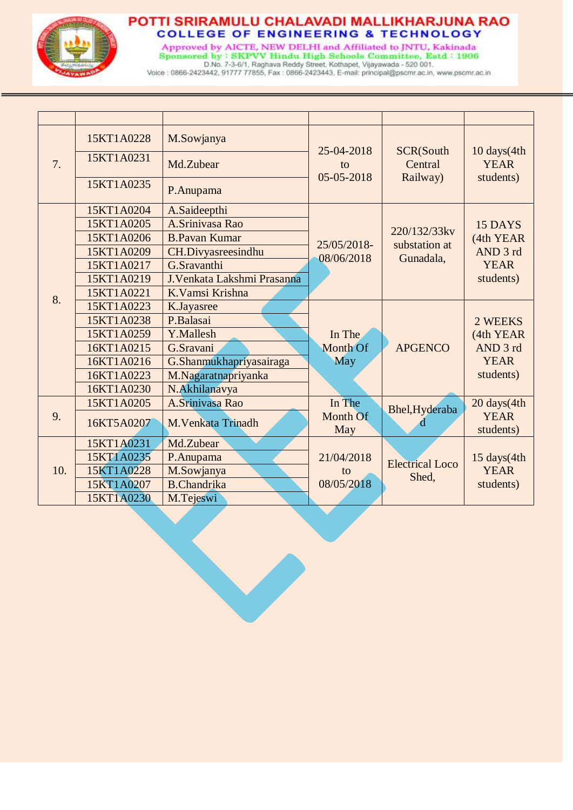

Approved by AICTE, NEW DELHI and Affiliated to JNTU, Kakinada<br>Sponsored by: SKPVV Hindu High Schoola Committee, Estd: 1906<br>D.No. 7-3-6/1, Raghava Reddy Street, Kothapet, Vijayawada - 520 001.<br>Voice: 0866-2423442, 91777 778

| 7.  | 15KT1A0228 | M.Sowjanya                 | 25-04-2018<br>to<br>05-05-2018 | <b>SCR(South</b><br>Central<br>Railway)    | 10 days(4th<br><b>YEAR</b>                                   |
|-----|------------|----------------------------|--------------------------------|--------------------------------------------|--------------------------------------------------------------|
|     | 15KT1A0231 | Md.Zubear                  |                                |                                            |                                                              |
|     | 15KT1A0235 | P.Anupama                  |                                |                                            | students)                                                    |
|     | 15KT1A0204 | A.Saideepthi               |                                | 220/132/33kv<br>substation at<br>Gunadala, | 15 DAYS<br>(4th YEAR<br>AND 3 rd<br><b>YEAR</b><br>students) |
|     | 15KT1A0205 | A.Srinivasa Rao            |                                |                                            |                                                              |
|     | 15KT1A0206 | <b>B.Pavan Kumar</b>       |                                |                                            |                                                              |
|     | 15KT1A0209 | CH.Divyasreesindhu         | 25/05/2018-<br>08/06/2018      |                                            |                                                              |
| 8.  | 15KT1A0217 | G.Sravanthi                |                                |                                            |                                                              |
|     | 15KT1A0219 | J.Venkata Lakshmi Prasanna |                                |                                            |                                                              |
|     | 15KT1A0221 | K. Vamsi Krishna           |                                |                                            |                                                              |
|     | 15KT1A0223 | K.Jayasree                 |                                |                                            |                                                              |
|     | 15KT1A0238 | P.Balasai                  |                                |                                            | 2 WEEKS                                                      |
|     | 15KT1A0259 | Y.Mallesh                  | In The                         |                                            | (4th YEAR                                                    |
|     | 16KT1A0215 | G.Sravani                  | <b>Month Of</b>                | <b>APGENCO</b>                             | AND 3 rd                                                     |
|     | 16KT1A0216 | G.Shanmukhapriyasairaga    | May                            |                                            | <b>YEAR</b>                                                  |
|     | 16KT1A0223 | M.Nagaratnapriyanka        |                                |                                            | students)                                                    |
|     | 16KT1A0230 | N.Akhilanavya              |                                |                                            |                                                              |
|     | 15KT1A0205 | A.Srinivasa Rao            | In The                         | Bhel, Hyderaba                             | 20 days(4th                                                  |
| 9.  | 16KT5A0207 | M. Venkata Trinadh         | Month Of<br>May                | d                                          | <b>YEAR</b><br>students)                                     |
| 10. | 15KT1A0231 | Md.Zubear                  |                                |                                            |                                                              |
|     | 15KT1A0235 | P.Anupama                  | 21/04/2018                     | <b>Electrical Loco</b><br>Shed,            | 15 days(4th                                                  |
|     | 15KT1A0228 | M.Sowjanya                 | to                             |                                            | <b>YEAR</b>                                                  |
|     | 15KT1A0207 | <b>B.Chandrika</b>         | 08/05/2018                     |                                            | students)                                                    |
|     | 15KT1A0230 | M.Tejeswi                  |                                |                                            |                                                              |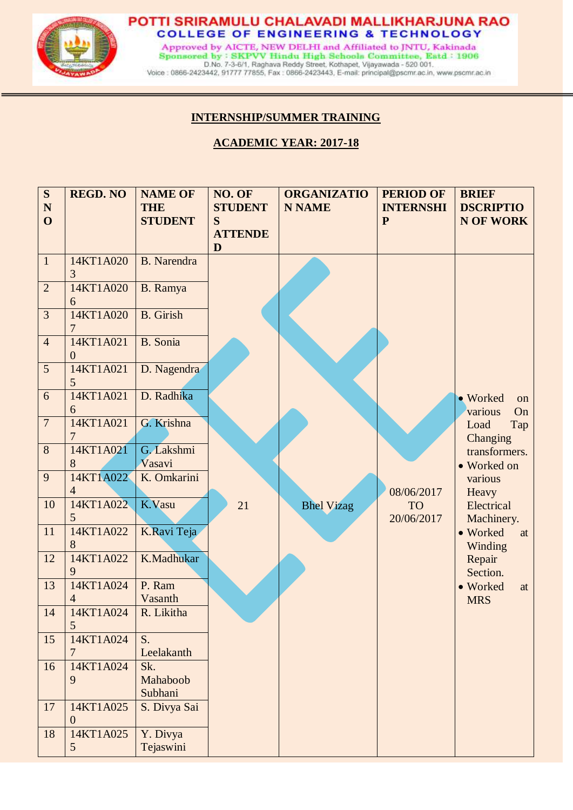

Approved by AICTE, NEW DELHI and Affiliated to JNTU, Kakinada Sponsored by: SKPVV Hindu High Schools Committee, Estd: 1906 D.No. 7-3-6/1, Raghava Reddy Street, Kothapet, Vijayawada - 520 001.<br>Voice : 0866-2423442, 91777 77855, Fax : 0866-2423443, E-mail: principal@pscmr.ac.in, www.pscmr.ac.in

## **INTERNSHIP/SUMMER TRAINING**

l

## **ACADEMIC YEAR: 2017-18**

| S              | <b>REGD. NO</b>               | <b>NAME OF</b>       | NO. OF              | <b>ORGANIZATIO</b> | <b>PERIOD OF</b>        | <b>BRIEF</b>                    |
|----------------|-------------------------------|----------------------|---------------------|--------------------|-------------------------|---------------------------------|
| $\mathbf N$    |                               | <b>THE</b>           | <b>STUDENT</b>      | <b>N NAME</b>      | <b>INTERNSHI</b>        | <b>DSCRIPTIO</b>                |
| $\mathbf{O}$   |                               | <b>STUDENT</b>       | S                   |                    | ${\bf P}$               | N OF WORK                       |
|                |                               |                      | <b>ATTENDE</b><br>D |                    |                         |                                 |
| $\mathbf{1}$   | 14KT1A020<br>3                | <b>B.</b> Narendra   |                     |                    |                         |                                 |
| $\overline{2}$ | 14KT1A020<br>6                | B. Ramya             |                     |                    |                         |                                 |
| $\overline{3}$ | 14KT1A020<br>7                | <b>B.</b> Girish     |                     |                    |                         |                                 |
| $\overline{4}$ | 14KT1A021<br>$\overline{0}$   | <b>B.</b> Sonia      |                     |                    |                         |                                 |
| 5              | 14KT1A021<br>5                | D. Nagendra          |                     |                    |                         |                                 |
| 6              | 14KT1A021<br>6                | D. Radhika           |                     |                    |                         | • Worked<br>on<br>On<br>various |
| $\overline{7}$ | 14KT1A021<br>7                | G. Krishna           |                     |                    |                         | Load<br>Tap<br>Changing         |
| 8              | 14KT1A021<br>8                | G. Lakshmi<br>Vasavi |                     |                    |                         | transformers.<br>• Worked on    |
| 9              | 14KT1A022                     | K. Omkarini          |                     |                    |                         | various                         |
|                | $\overline{4}$                |                      |                     |                    | 08/06/2017              | Heavy                           |
| 10             | 14KT1A022<br>5                | K.Vasu               | 21                  | <b>Bhel Vizag</b>  | <b>TO</b><br>20/06/2017 | Electrical<br>Machinery.        |
| 11             | 14KT1A022<br>8                | K.Ravi Teja          |                     |                    |                         | • Worked<br>at<br>Winding       |
| 12             | 14KT1A022<br>9                | K.Madhukar           |                     |                    |                         | Repair<br>Section.              |
| 13             | 14KT1A024                     | P. Ram               |                     |                    |                         | • Worked<br>at                  |
|                | $\overline{4}$                | Vasanth              |                     |                    |                         | <b>MRS</b>                      |
| 14             | 14KT1A024<br>5                | R. Likitha           |                     |                    |                         |                                 |
| 15             | 14KT1A024                     | S.                   |                     |                    |                         |                                 |
|                | 7                             | Leelakanth           |                     |                    |                         |                                 |
| 16             | 14KT1A024                     | Sk.                  |                     |                    |                         |                                 |
|                | 9                             | Mahaboob             |                     |                    |                         |                                 |
|                |                               | Subhani              |                     |                    |                         |                                 |
| 17             | 14KT1A025<br>$\boldsymbol{0}$ | S. Divya Sai         |                     |                    |                         |                                 |
| 18             | 14KT1A025                     | Y. Divya             |                     |                    |                         |                                 |
|                | 5                             | Tejaswini            |                     |                    |                         |                                 |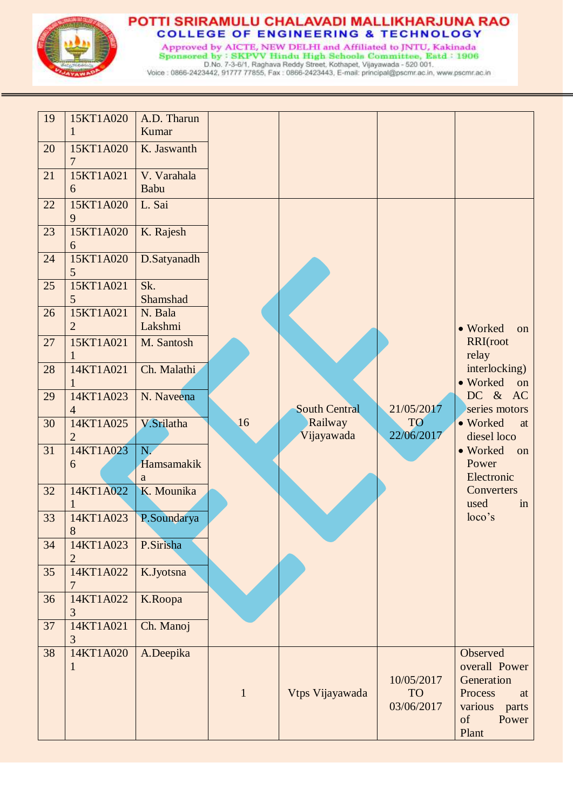

Approved by AICTE, NEW DELHI and Affiliated to JNTU, Kakinada Sponsored by: SKPVV Hindu High Schools Committee, Estd: 1906<br>D.No. 7-3-6/1, Raghava Reddy Street, Kothapet, Vijayawada - 520 001.<br>Voice : 0866-2423442, 91777 77855, Fax : 0866-2423443, E-mail: principal@pscmr.ac.in, www.ps

| 19 | 15KT1A020<br>$\mathbf{1}$   | A.D. Tharun<br><b>Kumar</b> |              |                       |                                       |                                                                                                      |
|----|-----------------------------|-----------------------------|--------------|-----------------------|---------------------------------------|------------------------------------------------------------------------------------------------------|
| 20 | 15KT1A020<br>7              | K. Jaswanth                 |              |                       |                                       |                                                                                                      |
| 21 | 15KT1A021<br>6              | V. Varahala<br>Babu         |              |                       |                                       |                                                                                                      |
| 22 | 15KT1A020<br>9              | L. Sai                      |              |                       |                                       |                                                                                                      |
| 23 | 15KT1A020<br>6              | K. Rajesh                   |              |                       |                                       |                                                                                                      |
| 24 | 15KT1A020<br>5              | D.Satyanadh                 |              |                       |                                       |                                                                                                      |
| 25 | 15KT1A021<br>5              | Sk.<br>Shamshad             |              |                       |                                       |                                                                                                      |
| 26 | 15KT1A021<br>$\overline{2}$ | N. Bala<br>Lakshmi          |              |                       |                                       | • Worked<br>on                                                                                       |
| 27 | 15KT1A021                   | M. Santosh                  |              |                       |                                       | RRI(root<br>relay                                                                                    |
| 28 | 14KT1A021                   | Ch. Malathi                 |              |                       |                                       | interlocking)<br>• Worked<br>on                                                                      |
| 29 | 14KT1A023<br>$\overline{4}$ | N. Naveena                  |              | <b>South Central</b>  | 21/05/2017                            | DC & AC<br>series motors                                                                             |
| 30 | 14KT1A025<br>2              | V.Srilatha                  | 16           | Railway<br>Vijayawada | TO<br>22/06/2017                      | • Worked<br>at<br>diesel loco                                                                        |
| 31 | 14KT1A023<br>6              | N.<br>Hamsamakik<br>a       |              |                       |                                       | • Worked<br>on<br>Power<br>Electronic                                                                |
| 32 | 14KT1A022<br>1              | K. Mounika                  |              |                       |                                       | Converters<br>used<br>in                                                                             |
| 33 | 14KT1A023<br>8              | P.Soundarya                 |              |                       |                                       | loco's                                                                                               |
| 34 | 14KT1A023<br>2              | P.Sirisha                   |              |                       |                                       |                                                                                                      |
| 35 | 14KT1A022                   | K.Jyotsna                   |              |                       |                                       |                                                                                                      |
| 36 | 14KT1A022<br>3              | K.Roopa                     |              |                       |                                       |                                                                                                      |
| 37 | 14KT1A021<br>3              | Ch. Manoj                   |              |                       |                                       |                                                                                                      |
| 38 | 14KT1A020<br>$\mathbf{1}$   | A.Deepika                   | $\mathbf{1}$ | Vtps Vijayawada       | 10/05/2017<br><b>TO</b><br>03/06/2017 | Observed<br>overall Power<br>Generation<br>Process<br>at<br>various<br>parts<br>of<br>Power<br>Plant |